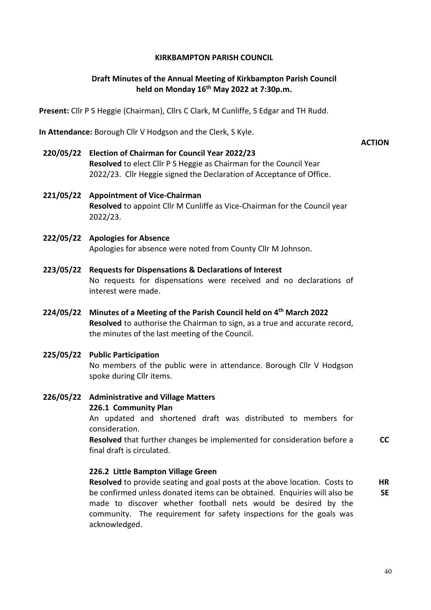## **KIRKBAMPTON PARISH COUNCIL**

# **Draft Minutes of the Annual Meeting of Kirkbampton Parish Council held on Monday 16th May 2022 at 7:30p.m.**

**ACTION**

**Present:** Cllr P S Heggie (Chairman), Cllrs C Clark, M Cunliffe, S Edgar and TH Rudd.

**In Attendance:** Borough Cllr V Hodgson and the Clerk, S Kyle.

- **220/05/22 Election of Chairman for Council Year 2022/23 Resolved** to elect Cllr P S Heggie as Chairman for the Council Year 2022/23. Cllr Heggie signed the Declaration of Acceptance of Office.
- **221/05/22 Appointment of Vice-Chairman Resolved** to appoint Cllr M Cunliffe as Vice-Chairman for the Council year 2022/23.
- **222/05/22 Apologies for Absence** Apologies for absence were noted from County Cllr M Johnson.
- **223/05/22 Requests for Dispensations & Declarations of Interest** No requests for dispensations were received and no declarations of interest were made.
- **224/05/22 Minutes of a Meeting of the Parish Council held on 4th March 2022 Resolved** to authorise the Chairman to sign, as a true and accurate record, the minutes of the last meeting of the Council.
- **225/05/22 Public Participation** No members of the public were in attendance. Borough Cllr V Hodgson spoke during Cllr items.
- **226/05/22 Administrative and Village Matters 226.1 Community Plan** An updated and shortened draft was distributed to members for

consideration.

**Resolved** that further changes be implemented for consideration before a final draft is circulated. **CC**

## **226.2 Little Bampton Village Green**

**Resolved** to provide seating and goal posts at the above location. Costs to be confirmed unless donated items can be obtained. Enquiries will also be made to discover whether football nets would be desired by the community. The requirement for safety inspections for the goals was acknowledged. **HR SE**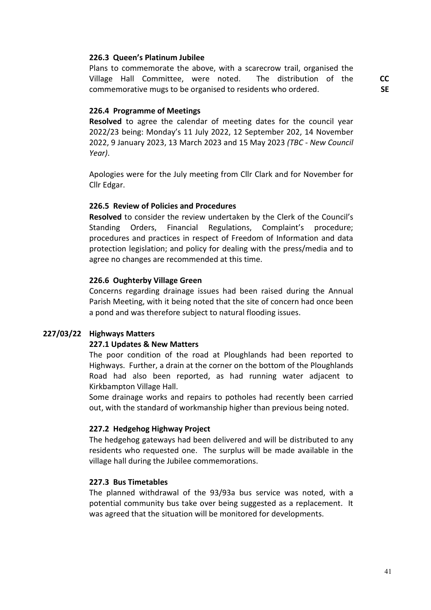#### **226.3 Queen's Platinum Jubilee**

Plans to commemorate the above, with a scarecrow trail, organised the Village Hall Committee, were noted. The distribution of the commemorative mugs to be organised to residents who ordered.

**CC SE**

#### **226.4 Programme of Meetings**

**Resolved** to agree the calendar of meeting dates for the council year 2022/23 being: Monday's 11 July 2022, 12 September 202, 14 November 2022, 9 January 2023, 13 March 2023 and 15 May 2023 *(TBC - New Council Year)*.

Apologies were for the July meeting from Cllr Clark and for November for Cllr Edgar.

#### **226.5 Review of Policies and Procedures**

**Resolved** to consider the review undertaken by the Clerk of the Council's Standing Orders, Financial Regulations, Complaint's procedure; procedures and practices in respect of Freedom of Information and data protection legislation; and policy for dealing with the press/media and to agree no changes are recommended at this time.

#### **226.6 Oughterby Village Green**

Concerns regarding drainage issues had been raised during the Annual Parish Meeting, with it being noted that the site of concern had once been a pond and was therefore subject to natural flooding issues.

## **227/03/22 Highways Matters**

#### **227.1 Updates & New Matters**

The poor condition of the road at Ploughlands had been reported to Highways. Further, a drain at the corner on the bottom of the Ploughlands Road had also been reported, as had running water adjacent to Kirkbampton Village Hall.

Some drainage works and repairs to potholes had recently been carried out, with the standard of workmanship higher than previous being noted.

#### **227.2 Hedgehog Highway Project**

The hedgehog gateways had been delivered and will be distributed to any residents who requested one. The surplus will be made available in the village hall during the Jubilee commemorations.

#### **227.3 Bus Timetables**

The planned withdrawal of the 93/93a bus service was noted, with a potential community bus take over being suggested as a replacement. It was agreed that the situation will be monitored for developments.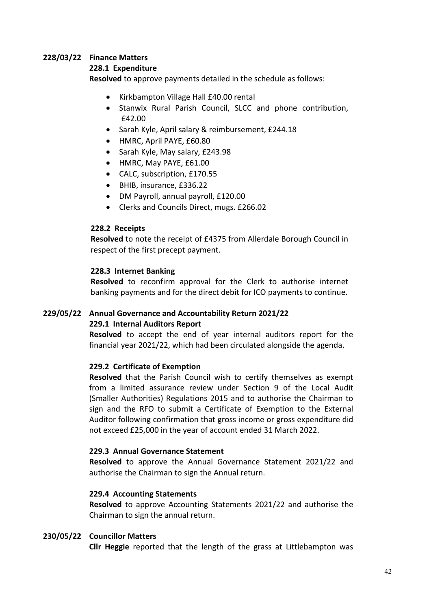# **228/03/22 Finance Matters**

## **228.1 Expenditure**

**Resolved** to approve payments detailed in the schedule as follows:

- Kirkbampton Village Hall £40.00 rental
- Stanwix Rural Parish Council, SLCC and phone contribution, £42.00
- Sarah Kyle, April salary & reimbursement, £244.18
- HMRC, April PAYE, £60.80
- Sarah Kyle, May salary, £243.98
- HMRC, May PAYE, £61.00
- CALC, subscription, £170.55
- BHIB, insurance, £336.22
- DM Payroll, annual payroll, £120.00
- Clerks and Councils Direct, mugs. £266.02

## **228.2 Receipts**

**Resolved** to note the receipt of £4375 from Allerdale Borough Council in respect of the first precept payment.

## **228.3 Internet Banking**

**Resolved** to reconfirm approval for the Clerk to authorise internet banking payments and for the direct debit for ICO payments to continue.

## **229/05/22 Annual Governance and Accountability Return 2021/22 229.1 Internal Auditors Report**

# **Resolved** to accept the end of year internal auditors report for the

financial year 2021/22, which had been circulated alongside the agenda.

## **229.2 Certificate of Exemption**

**Resolved** that the Parish Council wish to certify themselves as exempt from a limited assurance review under Section 9 of the Local Audit (Smaller Authorities) Regulations 2015 and to authorise the Chairman to sign and the RFO to submit a Certificate of Exemption to the External Auditor following confirmation that gross income or gross expenditure did not exceed £25,000 in the year of account ended 31 March 2022.

## **229.3 Annual Governance Statement**

**Resolved** to approve the Annual Governance Statement 2021/22 and authorise the Chairman to sign the Annual return.

## **229.4 Accounting Statements**

**Resolved** to approve Accounting Statements 2021/22 and authorise the Chairman to sign the annual return.

## **230/05/22 Councillor Matters**

**Cllr Heggie** reported that the length of the grass at Littlebampton was